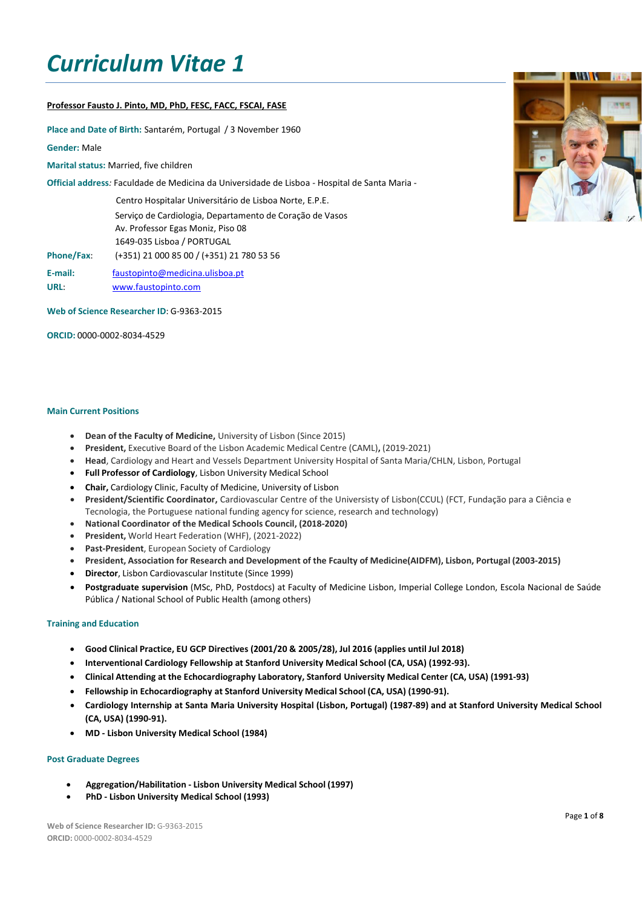# *Curriculum Vitae 1*

## **Professor Fausto J. Pinto, MD, PhD, FESC, FACC, FSCAI, FASE**

**Place and Date of Birth:** Santarém, Portugal / 3 November 1960

**Gender:** Male

**Marital status: Married, five children** 

**Official address***:* Faculdade de Medicina da Universidade de Lisboa - Hospital de Santa Maria -

Centro Hospitalar Universitário de Lisboa Norte, E.P.E. Serviço de Cardiologia, Departamento de Coração de Vasos Av. Professor Egas Moniz, Piso 08 1649-035 Lisboa / PORTUGAL **Phone/Fax**: (+351) 21 000 85 00 / (+351) 21 780 53 56

**E-mail:** [faustopinto@medicina.ulisboa.pt](mailto:faustopinto@medicina.ulisboa.pt) **URL**: [www.faustopinto.com](http://www.faustopinto.com/)

**Web of Science Researcher ID**: G-9363-2015

**ORCID:** 0000-0002-8034-4529

## **Main Current Positions**

- **Dean of the Faculty of Medicine,** University of Lisbon (Since 2015)
- **President,** Executive Board of the Lisbon Academic Medical Centre (CAML)**,** (2019-2021)
- **Head**, Cardiology and Heart and Vessels Department University Hospital of Santa Maria/CHLN, Lisbon, Portugal
- **Full Professor of Cardiology**, Lisbon University Medical School
- **Chair,** Cardiology Clinic, Faculty of Medicine, University of Lisbon
- **President/Scientific Coordinator,** Cardiovascular Centre of the Universisty of Lisbon(CCUL) (FCT, Fundação para a Ciência e Tecnologia, the Portuguese national funding agency for science, research and technology)
- **National Coordinator of the Medical Schools Council, (2018-2020)**
- **President,** World Heart Federation (WHF), (2021-2022)
- **Past-President**, European Society of Cardiology
- **President, Association for Research and Development of the Fcaulty of Medicine(AIDFM), Lisbon, Portugal (2003-2015)**
- **Director**, Lisbon Cardiovascular Institute (Since 1999)
- **Postgraduate supervision** (MSc, PhD, Postdocs) at Faculty of Medicine Lisbon, Imperial College London, Escola Nacional de Saúde Pública / National School of Public Health (among others)

## **Training and Education**

- **Good Clinical Practice, EU GCP Directives (2001/20 & 2005/28), Jul 2016 (applies until Jul 2018)**
- **Interventional Cardiology Fellowship at Stanford University Medical School (CA, USA) (1992-93).**
- **Clinical Attending at the Echocardiography Laboratory, Stanford University Medical Center (CA, USA) (1991-93)**
- **Fellowship in Echocardiography at Stanford University Medical School (CA, USA) (1990-91).**
- Cardiology Internship at Santa Maria University Hospital (Lisbon, Portugal) (1987-89) and at Stanford University Medical School **(CA, USA) (1990-91).**
- **MD - Lisbon University Medical School (1984)**

## **Post Graduate Degrees**

- **Aggregation/Habilitation - Lisbon University Medical School (1997)**
- **PhD - Lisbon University Medical School (1993)**

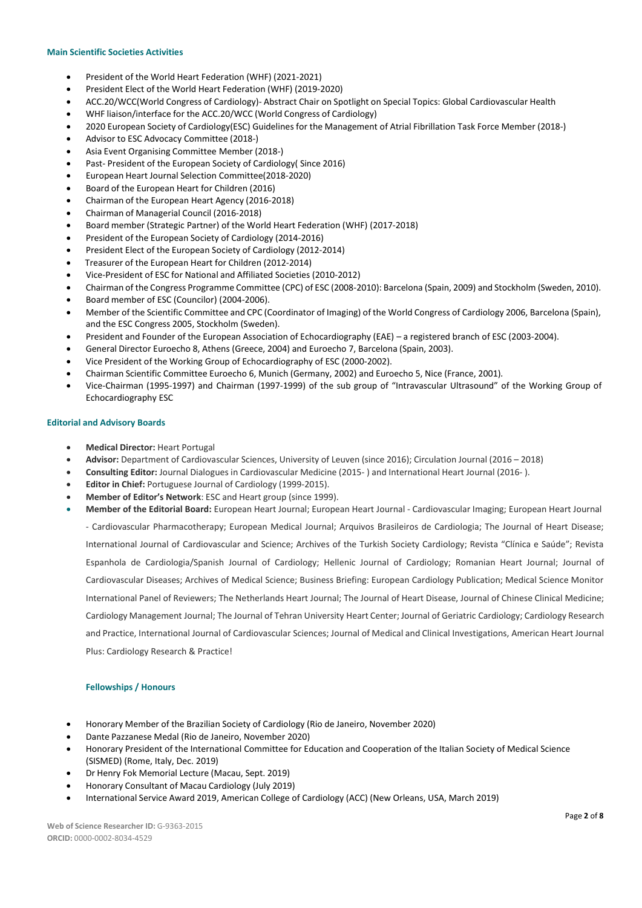## **Main Scientific Societies Activities**

- President of the World Heart Federation (WHF) (2021-2021)
- President Elect of the World Heart Federation (WHF) (2019-2020)
- ACC.20/WCC(World Congress of Cardiology)- Abstract Chair on Spotlight on Special Topics: Global Cardiovascular Health
- WHF liaison/interface for the ACC.20/WCC (World Congress of Cardiology)
- 2020 European Society of Cardiology(ESC) Guidelines for the Management of Atrial Fibrillation Task Force Member (2018-)
- Advisor to ESC Advocacy Committee (2018-)
- Asia Event Organising Committee Member (2018-)
- Past- President of the European Society of Cardiology( Since 2016)
- European Heart Journal Selection Committee(2018-2020)
- Board of the European Heart for Children (2016)
- Chairman of the European Heart Agency (2016-2018)
- Chairman of Managerial Council (2016-2018)
- Board member (Strategic Partner) of the World Heart Federation (WHF) (2017-2018)
- President of the European Society of Cardiology (2014-2016)
- President Elect of the European Society of Cardiology (2012-2014)
- Treasurer of the European Heart for Children (2012-2014)
- Vice-President of ESC for National and Affiliated Societies (2010-2012)
- Chairman of the Congress Programme Committee (CPC) of ESC (2008-2010): Barcelona (Spain, 2009) and Stockholm (Sweden, 2010).
- Board member of ESC (Councilor) (2004-2006).
- Member of the Scientific Committee and CPC (Coordinator of Imaging) of the World Congress of Cardiology 2006, Barcelona (Spain), and the ESC Congress 2005, Stockholm (Sweden).
- President and Founder of the European Association of Echocardiography (EAE) a registered branch of ESC (2003-2004).
- General Director Euroecho 8, Athens (Greece, 2004) and Euroecho 7, Barcelona (Spain, 2003).
- Vice President of the Working Group of Echocardiography of ESC (2000-2002).
- Chairman Scientific Committee Euroecho 6, Munich (Germany, 2002) and Euroecho 5, Nice (France, 2001)*.*
- Vice-Chairman (1995-1997) and Chairman (1997-1999) of the sub group of "Intravascular Ultrasound" of the Working Group of Echocardiography ESC

## **Editorial and Advisory Boards**

- **Medical Director:** Heart Portugal
- **Advisor:** Department of Cardiovascular Sciences, University of Leuven (since 2016); Circulation Journal (2016 2018)
- **Consulting Editor:** Journal Dialogues in Cardiovascular Medicine (2015- ) and International Heart Journal (2016- ).
- **Editor in Chief:** Portuguese Journal of Cardiology (1999-2015).
- **Member of Editor's Network**: ESC and Heart group (since 1999).
- **Member of the Editorial Board:** European Heart Journal; European Heart Journal Cardiovascular Imaging; European Heart Journal

- Cardiovascular Pharmacotherapy; European Medical Journal; Arquivos Brasileiros de Cardiologia; The Journal of Heart Disease; International Journal of Cardiovascular and Science; Archives of the Turkish Society Cardiology; Revista "Clínica e Saúde"; Revista Espanhola de Cardiologia/Spanish Journal of Cardiology; Hellenic Journal of Cardiology; Romanian Heart Journal; Journal of Cardiovascular Diseases; Archives of Medical Science; Business Briefing: European Cardiology Publication; Medical Science Monitor International Panel of Reviewers; The Netherlands Heart Journal; The Journal of Heart Disease, Journal of Chinese Clinical Medicine; Cardiology Management Journal; The Journal of Tehran University Heart Center; Journal of Geriatric Cardiology; Cardiology Research and Practice, International Journal of Cardiovascular Sciences; Journal of Medical and Clinical Investigations, American Heart Journal Plus: Cardiology Research & Practice!

## **Fellowships / Honours**

- Honorary Member of the Brazilian Society of Cardiology (Rio de Janeiro, November 2020)
- Dante Pazzanese Medal (Rio de Janeiro, November 2020)
- Honorary President of the International Committee for Education and Cooperation of the Italian Society of Medical Science (SISMED) (Rome, Italy, Dec. 2019)
- Dr Henry Fok Memorial Lecture (Macau, Sept. 2019)
- Honorary Consultant of Macau Cardiology (July 2019)
- International Service Award 2019, American College of Cardiology (ACC) (New Orleans, USA, March 2019)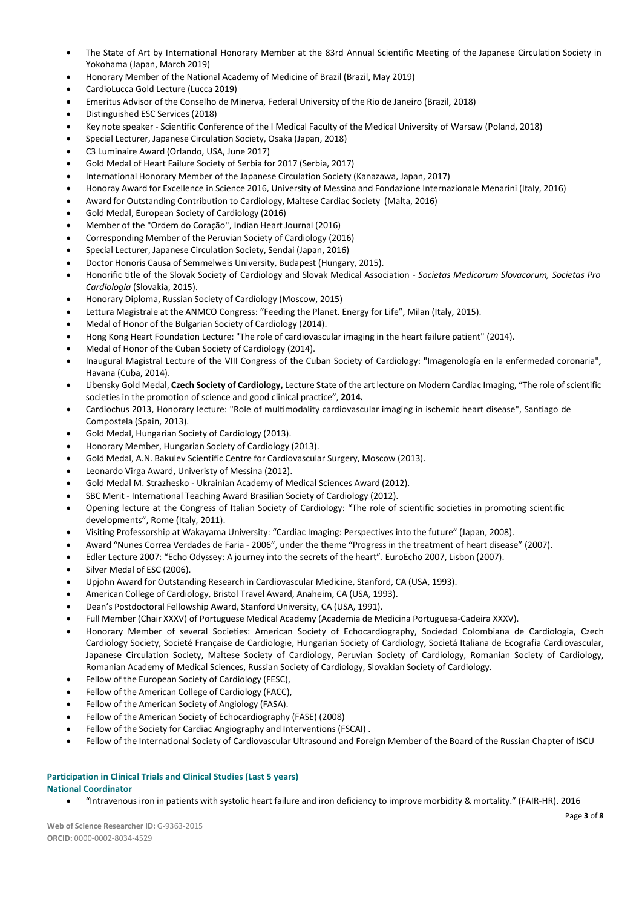- The State of Art by International Honorary Member at the 83rd Annual Scientific Meeting of the Japanese Circulation Society in Yokohama (Japan, March 2019)
- Honorary Member of the National Academy of Medicine of Brazil (Brazil, May 2019)
- CardioLucca Gold Lecture (Lucca 2019)
- Emeritus Advisor of the Conselho de Minerva, Federal University of the Rio de Janeiro (Brazil, 2018)
- Distinguished ESC Services (2018)
- Key note speaker Scientific Conference of the I Medical Faculty of the Medical University of Warsaw (Poland, 2018)
- Special Lecturer, Japanese Circulation Society, Osaka (Japan, 2018)
- C3 Luminaire Award (Orlando, USA, June 2017)
- Gold Medal of Heart Failure Society of Serbia for 2017 (Serbia, 2017)
- International Honorary Member of the Japanese Circulation Society (Kanazawa, Japan, 2017)
- Honoray Award for Excellence in Science 2016, University of Messina and Fondazione Internazionale Menarini (Italy, 2016)
- Award for Outstanding Contribution to Cardiology, Maltese Cardiac Society (Malta, 2016)
- Gold Medal, European Society of Cardiology (2016)
- Member of the "Ordem do Coração", Indian Heart Journal (2016)
- Corresponding Member of the Peruvian Society of Cardiology (2016)
- Special Lecturer, Japanese Circulation Society, Sendai (Japan, 2016)
- Doctor Honoris Causa of Semmelweis University, Budapest (Hungary, 2015).
- Honorific title of the Slovak Society of Cardiology and Slovak Medical Association *Societas Medicorum Slovacorum, Societas Pro Cardiologia* (Slovakia, 2015).
- Honorary Diploma, Russian Society of Cardiology (Moscow, 2015)
- Lettura Magistrale at the ANMCO Congress: "Feeding the Planet. Energy for Life", Milan (Italy, 2015).
- Medal of Honor of the Bulgarian Society of Cardiology (2014).
- Hong Kong Heart Foundation Lecture: "The role of cardiovascular imaging in the heart failure patient" (2014).
- Medal of Honor of the Cuban Society of Cardiology (2014).
- Inaugural Magistral Lecture of the VIII Congress of the Cuban Society of Cardiology: "Imagenología en la enfermedad coronaria", Havana (Cuba, 2014).
- Libensky Gold Medal, **Czech Society of Cardiology,** Lecture State of the art lecture on Modern Cardiac Imaging, "The role ofscientific societies in the promotion of science and good clinical practice", **2014.**
- Cardiochus 2013, Honorary lecture: "Role of multimodality cardiovascular imaging in ischemic heart disease", Santiago de Compostela (Spain, 2013).
- Gold Medal, Hungarian Society of Cardiology (2013).
- Honorary Member, Hungarian Society of Cardiology (2013).
- Gold Medal, A.N. Bakulev Scientific Centre for Cardiovascular Surgery, Moscow (2013).
- Leonardo Virga Award, Univeristy of Messina (2012).
- Gold Medal M. Strazhesko Ukrainian Academy of Medical Sciences Award (2012).
- SBC Merit International Teaching Award Brasilian Society of Cardiology (2012).
- Opening lecture at the Congress of Italian Society of Cardiology: "The role of scientific societies in promoting scientific developments", Rome (Italy, 2011).
- Visiting Professorship at Wakayama University: "Cardiac Imaging: Perspectives into the future" (Japan, 2008).
- Award "Nunes Correa Verdades de Faria 2006", under the theme "Progress in the treatment of heart disease" (2007).
- Edler Lecture 2007: "Echo Odyssey: A journey into the secrets of the heart". EuroEcho 2007, Lisbon (2007).
- Silver Medal of ESC (2006).
- Upjohn Award for Outstanding Research in Cardiovascular Medicine, Stanford, CA (USA, 1993).
- American College of Cardiology, Bristol Travel Award, Anaheim, CA (USA, 1993).
- Dean's Postdoctoral Fellowship Award, Stanford University, CA (USA, 1991).
- Full Member (Chair XXXV) of Portuguese Medical Academy (Academia de Medicina Portuguesa-Cadeira XXXV).
- Honorary Member of several Societies: American Society of Echocardiography, Sociedad Colombiana de Cardiologia, Czech Cardiology Society, Societé Française de Cardiologie, Hungarian Society of Cardiology, Societá Italiana de Ecografia Cardiovascular, Japanese Circulation Society, Maltese Society of Cardiology, Peruvian Society of Cardiology, Romanian Society of Cardiology, Romanian Academy of Medical Sciences, Russian Society of Cardiology, Slovakian Society of Cardiology.
- Fellow of the European Society of Cardiology (FESC),
- Fellow of the American College of Cardiology (FACC),
- Fellow of the American Society of Angiology (FASA).
- Fellow of the American Society of Echocardiography (FASE) (2008)
- Fellow of the Society for Cardiac Angiography and Interventions (FSCAI) .
- Fellow of the International Society of Cardiovascular Ultrasound and Foreign Member of the Board of the Russian Chapter of ISCU

## **Participation in Clinical Trials and Clinical Studies (Last 5 years) National Coordinator**

"Intravenous iron in patients with systolic heart failure and iron deficiency to improve morbidity & mortality." (FAIR-HR). 2016

**Web of Science Researcher ID:** G-9363-2015 **ORCID:** 0000-0002-8034-4529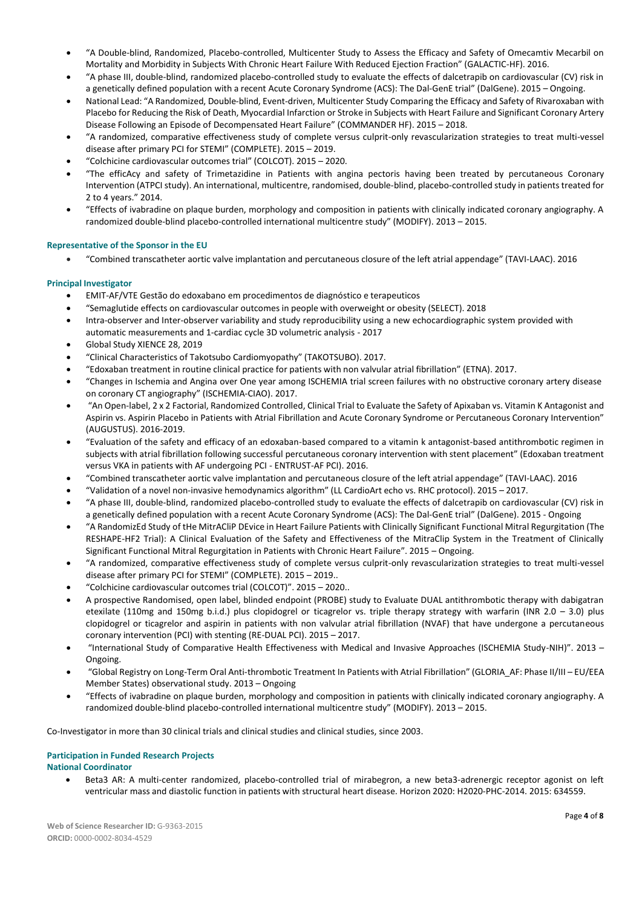- "A Double-blind, Randomized, Placebo-controlled, Multicenter Study to Assess the Efficacy and Safety of Omecamtiv Mecarbil on Mortality and Morbidity in Subjects With Chronic Heart Failure With Reduced Ejection Fraction" (GALACTIC-HF). 2016.
- "A phase III, double-blind, randomized placebo-controlled study to evaluate the effects of dalcetrapib on cardiovascular (CV) risk in a genetically defined population with a recent Acute Coronary Syndrome (ACS): The Dal-GenE trial" (DalGene). 2015 – Ongoing.
- National Lead: "A Randomized, Double-blind, Event-driven, Multicenter Study Comparing the Efficacy and Safety of Rivaroxaban with Placebo for Reducing the Risk of Death, Myocardial Infarction or Stroke in Subjects with Heart Failure and Significant Coronary Artery Disease Following an Episode of Decompensated Heart Failure" (COMMANDER HF). 2015 – 2018.
- "A randomized, comparative effectiveness study of complete versus culprit-only revascularization strategies to treat multi-vessel disease after primary PCI for STEMI" (COMPLETE). 2015 – 2019.
- "Colchicine cardiovascular outcomes trial" (COLCOT). 2015 2020.
- "The efficAcy and safety of Trimetazidine in Patients with angina pectoris having been treated by percutaneous Coronary Intervention (ATPCI study). An international, multicentre, randomised, double-blind, placebo-controlled study in patients treated for 2 to 4 years." 2014.
- "Effects of ivabradine on plaque burden, morphology and composition in patients with clinically indicated coronary angiography. A randomized double-blind placebo-controlled international multicentre study" (MODIFY). 2013 – 2015.

# **Representative of the Sponsor in the EU**

"Combined transcatheter aortic valve implantation and percutaneous closure of the left atrial appendage" (TAVI-LAAC). 2016

# **Principal Investigator**

- EMIT-AF/VTE Gestão do edoxabano em procedimentos de diagnóstico e terapeuticos
- "Semaglutide effects on cardiovascular outcomes in people with overweight or obesity (SELECT). 2018
- Intra-observer and Inter-observer variability and study reproducibility using a new echocardiographic system provided with automatic measurements and 1-cardiac cycle 3D volumetric analysis - 2017
- Global Study XIENCE 28, 2019
- "Clinical Characteristics of Takotsubo Cardiomyopathy" (TAKOTSUBO). 2017.
- "Edoxaban treatment in routine clinical practice for patients with non valvular atrial fibrillation" (ETNA). 2017.
- "Changes in Ischemia and Angina over One year among ISCHEMIA trial screen failures with no obstructive coronary artery disease on coronary CT angiography" (ISCHEMIA-CIAO). 2017.
- "An Open-label, 2 x 2 Factorial, Randomized Controlled, Clinical Trial to Evaluate the Safety of Apixaban vs. Vitamin K Antagonist and Aspirin vs. Aspirin Placebo in Patients with Atrial Fibrillation and Acute Coronary Syndrome or Percutaneous Coronary Intervention" (AUGUSTUS). 2016-2019.
- "Evaluation of the safety and efficacy of an edoxaban-based compared to a vitamin k antagonist-based antithrombotic regimen in subjects with atrial fibrillation following successful percutaneous coronary intervention with stent placement" (Edoxaban treatment versus VKA in patients with AF undergoing PCI - ENTRUST-AF PCI). 2016.
- "Combined transcatheter aortic valve implantation and percutaneous closure of the left atrial appendage" (TAVI-LAAC). 2016
- "Validation of a novel non-invasive hemodynamics algorithm" (LL CardioArt echo vs. RHC protocol). 2015 2017.
- "A phase III, double-blind, randomized placebo-controlled study to evaluate the effects of dalcetrapib on cardiovascular (CV) risk in a genetically defined population with a recent Acute Coronary Syndrome (ACS): The Dal-GenE trial" (DalGene). 2015 - Ongoing
- "A RandomizEd Study of tHe MitrACliP DEvice in Heart Failure Patients with Clinically Significant Functional Mitral Regurgitation (The RESHAPE-HF2 Trial): A Clinical Evaluation of the Safety and Effectiveness of the MitraClip System in the Treatment of Clinically Significant Functional Mitral Regurgitation in Patients with Chronic Heart Failure". 2015 – Ongoing.
- "A randomized, comparative effectiveness study of complete versus culprit-only revascularization strategies to treat multi-vessel disease after primary PCI for STEMI" (COMPLETE). 2015 – 2019..
- "Colchicine cardiovascular outcomes trial (COLCOT)". 2015 2020..
- A prospective Randomised, open label, blinded endpoint (PROBE) study to Evaluate DUAL antithrombotic therapy with dabigatran etexilate (110mg and 150mg b.i.d.) plus clopidogrel or ticagrelor vs. triple therapy strategy with warfarin (INR 2.0 – 3.0) plus clopidogrel or ticagrelor and aspirin in patients with non valvular atrial fibrillation (NVAF) that have undergone a percutaneous coronary intervention (PCI) with stenting (RE-DUAL PCI). 2015 – 2017.
- "International Study of Comparative Health Effectiveness with Medical and Invasive Approaches (ISCHEMIA Study-NIH)". 2013 Ongoing.
- "Global Registry on Long-Term Oral Anti-thrombotic Treatment In Patients with Atrial Fibrillation" (GLORIA\_AF: Phase II/III EU/EEA Member States) observational study. 2013 – Ongoing
- "Effects of ivabradine on plaque burden, morphology and composition in patients with clinically indicated coronary angiography. A randomized double-blind placebo-controlled international multicentre study" (MODIFY). 2013 – 2015.

Co-Investigator in more than 30 clinical trials and clinical studies and clinical studies, since 2003.

## **Participation in Funded Research Projects National Coordinator**

 Beta3 AR: A multi-center randomized, placebo-controlled trial of mirabegron, a new beta3-adrenergic receptor agonist on left ventricular mass and diastolic function in patients with structural heart disease. Horizon 2020: H2020-PHC-2014. 2015: 634559.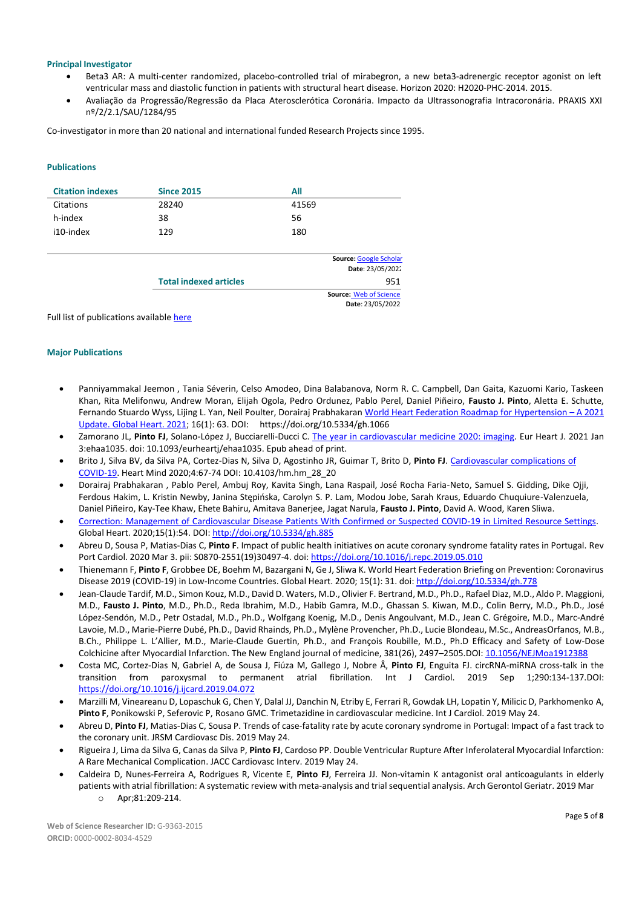## **Principal Investigator**

- Beta3 AR: A multi-center randomized, placebo-controlled trial of mirabegron, a new beta3-adrenergic receptor agonist on left ventricular mass and diastolic function in patients with structural heart disease. Horizon 2020: H2020-PHC-2014. 2015.
- Avaliação da Progressão/Regressão da Placa Aterosclerótica Coronária. Impacto da Ultrassonografia Intracoronária. PRAXIS XXI nº/2/2.1/SAU/1284/95

Co-investigator in more than 20 national and international funded Research Projects since 1995.

## **Publications**

| <b>Citation indexes</b> | <b>Since 2015</b>             | All                           |
|-------------------------|-------------------------------|-------------------------------|
| Citations               | 28240                         | 41569                         |
| h-index                 | 38                            | 56                            |
| i10-index               | 129                           | 180                           |
|                         |                               | Source: Google Scholar        |
|                         |                               | Date: 23/05/2022              |
|                         | <b>Total indexed articles</b> | 951                           |
|                         |                               | <b>Source: Web of Science</b> |

**Date**: 23/05/2022

Full list of publications available here

## **Major Publications**

- Panniyammakal Jeemon , Tania Séverin, Celso Amodeo, Dina Balabanova, Norm R. C. Campbell, Dan Gaita, Kazuomi Kario, Taskeen Khan, Rita Melifonwu, Andrew Moran, Elijah Ogola, Pedro Ordunez, Pablo Perel, Daniel Piñeiro, **Fausto J. Pinto**, Aletta E. Schutte, Fernando Stuardo Wyss, Lijing L. Yan, Neil Poulter, Dorairaj Prabhakara[n World Heart Federation Roadmap for Hypertension](https://globalheartjournal.com/articles/10.5334/gh.1066/) - A 2021 [Update. Global Heart. 2021;](https://globalheartjournal.com/articles/10.5334/gh.1066/) 16(1): 63. DOI: https://doi.org/10.5334/gh.1066
- Zamorano JL, **Pinto FJ**, Solano-López J, Bucciarelli-Ducci C. The year in [cardiovascular](https://pubmed.ncbi.nlm.nih.gov/33388781/) medicine 2020: imaging. Eur Heart J. 2021 Jan 3:ehaa1035. doi: 10.1093/eurheartj/ehaa1035. Epub ahead of print.
- Brito J, Silva BV, da Silva PA, Cortez-Dias N, Silva D, Agostinho JR, Guimar T, Brito D, **Pinto FJ**. Cardiovascular complications of COVID-19. Heart Mind 2020;4:67-74 DOI: 10.4103/hm.hm\_28\_20
- Dorairaj Prabhakaran , Pablo Perel, Ambuj Roy, Kavita Singh, Lana Raspail, José Rocha Faria-Neto, Samuel S. Gidding, Dike Ojji, Ferdous Hakim, L. Kristin Newby, Janina Stępińska, Carolyn S. P. Lam, Modou Jobe, Sarah Kraus, Eduardo Chuquiure-Valenzuela, Daniel Piñeiro, Kay-Tee Khaw, Ehete Bahiru, Amitava Banerjee, Jagat Narula, **Fausto J. Pinto**, David A. Wood, Karen Sliwa.
- Correction: Management of Cardiovascular Disease Patients With Confirmed or Suspected COVID-19 in Limited Resource Settings. Global Heart. 2020;15(1):54. DOI[: http://doi.org/10.5334/gh.885](http://doi.org/10.5334/gh.885)
- Abreu D, Sousa P, Matias-Dias C, **Pinto F**. Impact of public health initiatives on acute coronary syndrome fatality rates in Portugal. Rev Port Cardiol. 2020 Mar 3. pii: S0870-2551(19)30497-4. doi: <https://doi.org/10.1016/j.repc.2019.05.010>
- Thienemann F, **Pinto F**, Grobbee DE, Boehm M, Bazargani N, Ge J, Sliwa K. World Heart Federation Briefing on Prevention: Coronavirus Disease 2019 (COVID-19) in Low-Income Countries. Global Heart. 2020; 15(1): 31. doi: <http://doi.org/10.5334/gh.778>
- Jean-Claude Tardif, M.D., Simon Kouz, M.D., David D. Waters, M.D., Olivier F. Bertrand, M.D., Ph.D., Rafael Diaz, M.D., Aldo P. Maggioni, M.D., **Fausto J. Pinto**, M.D., Ph.D., Reda Ibrahim, M.D., Habib Gamra, M.D., Ghassan S. Kiwan, M.D., Colin Berry, M.D., Ph.D., José López-Sendón, M.D., Petr Ostadal, M.D., Ph.D., Wolfgang Koenig, M.D., Denis Angoulvant, M.D., Jean C. Grégoire, M.D., Marc-André Lavoie, M.D., Marie-Pierre Dubé, Ph.D., David Rhainds, Ph.D., Mylène Provencher, Ph.D., Lucie Blondeau, M.Sc., AndreasOrfanos, M.B., B.Ch., Philippe L. L'Allier, M.D., Marie-Claude Guertin, Ph.D., and François Roubille, M.D., Ph.D Efficacy and Safety of Low-Dose Colchicine after Myocardial Infarction. The New England journal of medicine, 381(26), 2497-2505.DOI: [10.1056/NEJMoa1912388](https://doi.org/10.1056/nejmoa1912388)
- Costa MC, Cortez-Dias N, Gabriel A, de Sousa J, Fiúza M, Gallego J, Nobre Â, **Pinto FJ**, Enguita FJ. circRNA-miRNA cross-talk in the transition from paroxysmal to permanent atrial fibrillation. Int J Cardiol. 2019 Sep 1;290:134-137.DOI: <https://doi.org/10.1016/j.ijcard.2019.04.072>
- Marzilli M, Vineareanu D, Lopaschuk G, Chen Y, Dalal JJ, Danchin N, Etriby E, Ferrari R, Gowdak LH, Lopatin Y, Milicic D, Parkhomenko A, **Pinto F**, Ponikowski P, Seferovic P, Rosano GMC. Trimetazidine in cardiovascular medicine. Int J Cardiol. 2019 May 24.
- Abreu D, **Pinto FJ**, Matias-Dias C, Sousa P. Trends of case-fatality rate by acute coronary syndrome in Portugal: Impact of a fast track to the coronary unit. JRSM Cardiovasc Dis. 2019 May 24.
- Rigueira J, Lima da Silva G, Canas da Silva P, **Pinto FJ**, Cardoso PP. Double Ventricular Rupture After Inferolateral Myocardial Infarction: A Rare Mechanical Complication. JACC Cardiovasc Interv. 2019 May 24.
- Caldeira D, Nunes-Ferreira A, Rodrigues R, Vicente E, **Pinto FJ**, Ferreira JJ. Non-vitamin K antagonist oral anticoagulants in elderly patients with atrial fibrillation: A systematic review with meta-analysis and trial sequential analysis. Arch Gerontol Geriatr. 2019 Mar o Apr;81:209-214.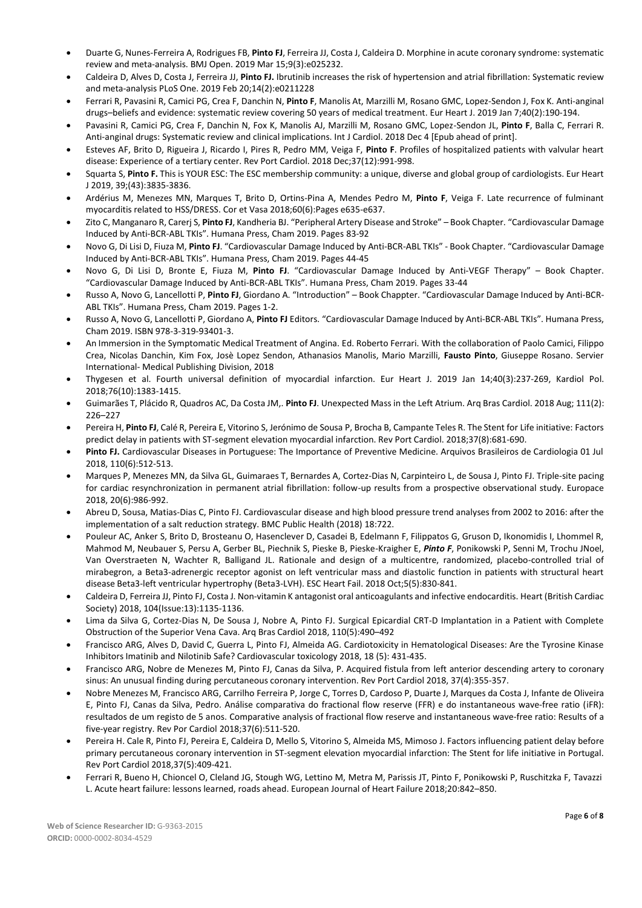- Duarte G, Nunes-Ferreira A, Rodrigues FB, **Pinto FJ**, Ferreira JJ, Costa J, Caldeira D. Morphine in acute coronary syndrome: systematic review and meta-analysis. BMJ Open. 2019 Mar 15;9(3):e025232.
- Caldeira D, Alves D, Costa J, Ferreira JJ, **Pinto FJ.** Ibrutinib increases the risk of hypertension and atrial fibrillation: Systematic review and meta-analysis PLoS One. 2019 Feb 20;14(2):e0211228
- Ferrari R, Pavasini R, Camici PG, Crea F, Danchin N, **Pinto F**, Manolis At, Marzilli M, Rosano GMC, Lopez-Sendon J, Fox K. Anti-anginal drugs–beliefs and evidence: systematic review covering 50 years of medical treatment. Eur Heart J. 2019 Jan 7;40(2):190-194.
- Pavasini R, Camici PG, Crea F, Danchin N, Fox K, Manolis AJ, Marzilli M, Rosano GMC, Lopez-Sendon JL, **Pinto F**, Balla C, Ferrari R. Anti-anginal drugs: Systematic review and clinical implications. Int J Cardiol. 2018 Dec 4 [Epub ahead of print].
- Esteves AF, Brito D, Rigueira J, Ricardo I, Pires R, Pedro MM, Veiga F, **Pinto F**. Profiles of hospitalized patients with valvular heart disease: Experience of a tertiary center. Rev Port Cardiol. 2018 Dec;37(12):991-998.
- Squarta S, **Pinto F.** This is YOUR ESC: The ESC membership community: a unique, diverse and global group of cardiologists. Eur Heart J 2019, 39;(43):3835-3836.
- Ardérius M, Menezes MN, Marques T, Brito D, Ortins-Pina A, Mendes Pedro M, **Pinto F**, Veiga F. Late recurrence of fulminant myocarditis related to HSS/DRESS. Cor et Vasa 2018;60(6):Pages e635-e637.
- Zito C, Manganaro R, Carerj S, **Pinto FJ**, Kandheria BJ. "Peripheral Artery Disease and Stroke" Book Chapter. "Cardiovascular Damage Induced by Anti-BCR-ABL TKIs". Humana Press, Cham 2019. Pages 83-92
- Novo G, Di Lisi D, Fiuza M, **Pinto FJ**. "Cardiovascular Damage Induced by Anti-BCR-ABL TKIs" Book Chapter. "Cardiovascular Damage Induced by Anti-BCR-ABL TKIs". Humana Press, Cham 2019. Pages 44-45
- Novo G, Di Lisi D, Bronte E, Fiuza M, **Pinto FJ**. "Cardiovascular Damage Induced by Anti-VEGF Therapy" Book Chapter. "Cardiovascular Damage Induced by Anti-BCR-ABL TKIs". Humana Press, Cham 2019. Pages 33-44
- Russo A, Novo G, Lancellotti P, **Pinto FJ**, Giordano A. "Introduction" Book Chappter. "Cardiovascular Damage Induced by Anti-BCR-ABL TKIs". Humana Press, Cham 2019. Pages 1-2.
- Russo A, Novo G, Lancellotti P, Giordano A, **Pinto FJ** Editors. "Cardiovascular Damage Induced by Anti-BCR-ABL TKIs". Humana Press, Cham 2019. ISBN 978-3-319-93401-3.
- An Immersion in the Symptomatic Medical Treatment of Angina. Ed. Roberto Ferrari. With the collaboration of Paolo Camici, Filippo Crea, Nicolas Danchin, Kim Fox, Josè Lopez Sendon, Athanasios Manolis, Mario Marzilli, **Fausto Pinto**, Giuseppe Rosano. Servier International- Medical Publishing Division, 2018
- Thygesen et al. Fourth universal definition of myocardial infarction. Eur Heart J. 2019 Jan 14;40(3):237-269, Kardiol Pol. 2018;76(10):1383-1415.
- Guimarães T, Plácido R, Quadros AC, Da Costa JM,. **Pinto FJ**. Unexpected Mass in the Left Atrium. Arq Bras Cardiol. 2018 Aug; 111(2): 226–227
- Pereira H, **Pinto FJ**, Calé R, Pereira E, Vitorino S, Jerónimo de Sousa P, Brocha B, Campante Teles R. The Stent for Life initiative: Factors predict delay in patients with ST-segment elevation myocardial infarction. Rev Port Cardiol. 2018;37(8):681-690.
- **Pinto FJ.** Cardiovascular Diseases in Portuguese: The Importance of Preventive Medicine. Arquivos Brasileiros de Cardiologia 01 Jul 2018, 110(6):512-513.
- Marques P, Menezes MN, da Silva GL, Guimaraes T, Bernardes A, Cortez-Dias N, Carpinteiro L, de Sousa J, Pinto FJ. Triple-site pacing for cardiac resynchronization in permanent atrial fibrillation: follow-up results from a prospective observational study. Europace 2018, 20(6):986-992.
- Abreu D, Sousa, Matias-Dias C, Pinto FJ. Cardiovascular disease and high blood pressure trend analyses from 2002 to 2016: after the implementation of a salt reduction strategy. BMC Public Health (2018) 18:722.
- Pouleur AC, Anker S, Brito D, Brosteanu O, Hasenclever D, Casadei B, Edelmann F, Filippatos G, Gruson D, Ikonomidis I, Lhommel R, Mahmod M, Neubauer S, Persu A, Gerber BL, Piechnik S, Pieske B, Pieske-Kraigher E, *Pinto F*, Ponikowski P, Senni M, Trochu JNoel, Van Overstraeten N, Wachter R, Balligand JL. Rationale and design of a multicentre, randomized, placebo-controlled trial of mirabegron, a Beta3-adrenergic receptor agonist on left ventricular mass and diastolic function in patients with structural heart disease Beta3-left ventricular hypertrophy (Beta3-LVH). ESC Heart Fail. 2018 Oct;5(5):830-841.
- Caldeira D, Ferreira JJ, Pinto FJ, Costa J. Non-vitamin K antagonist oral anticoagulants and infective endocarditis. Heart (British Cardiac Society) 2018, 104(Issue:13):1135-1136.
- Lima da Silva G, Cortez-Dias N, De Sousa J, Nobre A, Pinto FJ. Surgical Epicardial CRT-D Implantation in a Patient with Complete Obstruction of the Superior Vena Cava. Arq Bras Cardiol 2018, 110(5):490–492
- Francisco ARG, Alves D, David C, Guerra L, Pinto FJ, Almeida AG. Cardiotoxicity in Hematological Diseases: Are the Tyrosine Kinase Inhibitors Imatinib and Nilotinib Safe? Cardiovascular toxicology 2018, 18 (5): 431-435.
- Francisco ARG, Nobre de Menezes M, Pinto FJ, Canas da Silva, P. Acquired fistula from left anterior descending artery to coronary sinus: An unusual finding during percutaneous coronary intervention. Rev Port Cardiol 2018, 37(4):355-357.
- Nobre Menezes M, Francisco ARG, Carrilho Ferreira P, Jorge C, Torres D, Cardoso P, Duarte J, Marques da Costa J, Infante de Oliveira E, Pinto FJ, Canas da Silva, Pedro. Análise comparativa do fractional flow reserve (FFR) e do instantaneous wave‐free ratio (iFR): resultados de um registo de 5 anos. Comparative analysis of fractional flow reserve and instantaneous wave‐free ratio: Results of a five‐year registry. Rev Por Cardiol 2018;37(6):511-520.
- Pereira H. Cale R, Pinto FJ, Pereira E, Caldeira D, Mello S, Vitorino S, Almeida MS, Mimoso J. Factors influencing patient delay before primary percutaneous coronary intervention in ST-segment elevation myocardial infarction: The Stent for life initiative in Portugal. Rev Port Cardiol 2018,37(5):409-421.
- Ferrari R, Bueno H, Chioncel O, Cleland JG, Stough WG, Lettino M, Metra M, Parissis JT, Pinto F, Ponikowski P, Ruschitzka F, Tavazzi L. Acute heart failure: lessons learned, roads ahead. European Journal of Heart Failure 2018;20:842–850.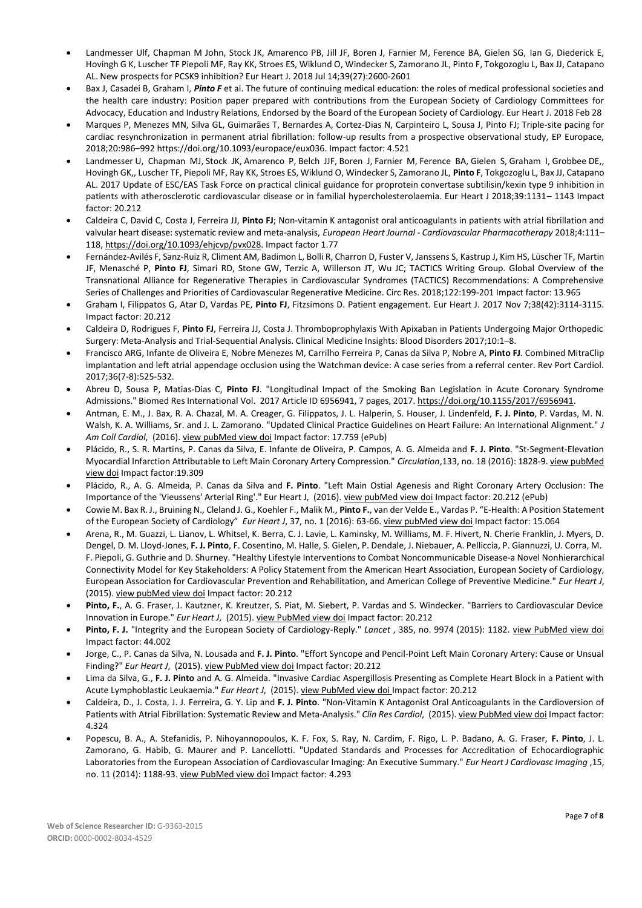- Landmesser Ulf, Chapman M John, Stock JK, Amarenco PB, Jill JF, Boren J, Farnier M, Ference BA, Gielen SG, Ian G, Diederick E, Hovingh G K, Luscher TF Piepoli MF, Ray KK, Stroes ES, Wiklund O, Windecker S, Zamorano JL, Pinto F, Tokgozoglu L, Bax JJ, Catapano AL. New prospects for PCSK9 inhibition? Eur Heart J. 2018 Jul 14;39(27):2600-2601
- Bax J, Casadei B, Graham I, *Pinto F* et al. The future of continuing medical education: the roles of medical professional societies and the health care industry: Position paper prepared with contributions from the European Society of Cardiology Committees for Advocacy, Education and Industry Relations, Endorsed by the Board of the European Society of Cardiology. Eur Heart J. 2018 Feb 28
- Marques P, Menezes MN, Silva GL, Guimarães T, Bernardes A, Cortez-Dias N, Carpinteiro L, Sousa J, Pinto FJ; Triple-site pacing for cardiac resynchronization in permanent atrial fibrillation: follow-up results from a prospective observational study, EP Europace, 2018;20:986–992 https://doi.org/10.1093/europace/eux036. Impact factor: 4.521
- Landmesser U, Chapman MJ, Stock JK, Amarenco P, Belch JJF, Boren J, Farnier M, Ference BA, Gielen S, Graham I, Grobbee DE,, Hovingh GK,, Luscher TF, Piepoli MF, Ray KK, Stroes ES, Wiklund O, Windecker S, Zamorano JL, **Pinto F**, Tokgozoglu L, Bax JJ, Catapano AL. 2017 Update of ESC/EAS Task Force on practical clinical guidance for proprotein convertase subtilisin/kexin type 9 inhibition in patients with atherosclerotic cardiovascular disease or in familial hypercholesterolaemia. Eur Heart J 2018;39:1131– 1143 Impact factor: 20.212
- Caldeira C, David C, Costa J, Ferreira JJ, **Pinto FJ**; Non-vitamin K antagonist oral anticoagulants in patients with atrial fibrillation and valvular heart disease: systematic review and meta-analysis, *European Heart Journal - Cardiovascular Pharmacotherapy* 2018;4:111– 118, [https://doi.org/10.1093/ehjcvp/pvx028. Im](https://doi.org/10.1093/ehjcvp/pvx028)pact factor 1.77
- Fernández-Avilés F, Sanz-Ruiz R, Climent AM, Badimon L, Bolli R, Charron D, Fuster V, Janssens S, Kastrup J, Kim HS, Lüscher TF, Martin JF, Menasché P, **Pinto FJ**, Simari RD, Stone GW, Terzic A, Willerson JT, Wu JC; TACTICS Writing Group. Global Overview of the Transnational Alliance for Regenerative Therapies in Cardiovascular Syndromes (TACTICS) Recommendations: A Comprehensive Series of Challenges and Priorities of Cardiovascular Regenerative Medicine. Circ Res. 2018;122:199-201 Impact factor: 13.965
- Graham I, Filippatos G, Atar D, Vardas PE, **Pinto FJ**, Fitzsimons D. Patient engagement. Eur Heart J. 2017 Nov 7;38(42):3114-3115. Impact factor: 20.212
- Caldeira D, Rodrigues F, **Pinto FJ**, Ferreira JJ, Costa J. Thromboprophylaxis With Apixaban in Patients Undergoing Major Orthopedic Surgery: Meta-Analysis and Trial-Sequential Analysis. Clinical Medicine Insights: Blood Disorders 2017;10:1–8.
- Francisco ARG, Infante de Oliveira E, Nobre Menezes M, Carrilho Ferreira P, Canas da Silva P, Nobre A, **Pinto FJ**. Combined MitraClip implantation and left atrial appendage occlusion using the Watchman device: A case series from a referral center. Rev Port Cardiol. 2017;36(7-8):525-532.
- Abreu D, Sousa P, Matias-Dias C, **Pinto FJ**. "Longitudinal Impact of the Smoking Ban Legislation in Acute Coronary Syndrome Admissions." Biomed Res International Vol. 2017 Article ID 6956941, 7 pages, 2017. [https://doi.org/10.1155/2017/6956941.](https://doi.org/10.1155/2017/6956941)
- Antman, E. M., J. Bax, R. A. Chazal, M. A. Creager, G. Filippatos, J. L. Halperin, S. Houser, J. Lindenfeld, **F. J. Pinto**, P. Vardas, M. N. Walsh, K. A. Williams, Sr. and J. L. Zamorano. "Updated Clinical Practice Guidelines on Heart Failure: An International Alignment." *J Am Coll Cardiol*, (2016). view [pubMed view doi](http://www.ncbi.nlm.nih.gov/pubmed/27216110) Impact factor: 17.759 (ePub)
- Plácido, R., S. R. Martins, P. Canas da Silva, E. Infante de Oliveira, P. Campos, A. G. Almeida and **F. J. Pinto**. "St-Segment-Elevation Myocardial Infarction Attributable to Left Main Coronary Artery Compression." *Circulation*,133, no. 18 (2016): 1828-9. view [pubMed](http://www.ncbi.nlm.nih.gov/pubmed/27143552) [view](http://circ.ahajournals.org/content/133/18/1828.extract) doi Impact factor:19.309
- Plácido, R., A. G. Almeida, P. Canas da Silva and **F. Pinto**. "Left Main Ostial Agenesis and Right Coronary Artery Occlusion: The Importance of the 'Vieussens' Arterial Ring'." Eur Heart J, (2016). view [pubMed](https://www.ncbi.nlm.nih.gov/pubmed/26843274) [view](https://www.ncbi.nlm.nih.gov/pubmed/26843274) doi Impact factor: 20.212 (ePub)
- Cowie M. Bax R. J., Bruining N., Cleland J. G., Koehler F., Malik M., **Pinto F.**, van der Velde E., Vardas P. "E-Health: A Position Statement of the European Society of Cardiology" *Eur Heart J*, 37, no. 1 (2016): 63-66. [view pubMed](http://www.ncbi.nlm.nih.gov/pubmed/26303835) [view](http://www.ncbi.nlm.nih.gov/pubmed/26303835) doi Impact factor: 15.064
- Arena, R., M. Guazzi, L. Lianov, L. Whitsel, K. Berra, C. J. Lavie, L. Kaminsky, M. Williams, M. F. Hivert, N. Cherie Franklin, J. Myers, D. Dengel, D. M. Lloyd-Jones, **F. J. Pinto**, F. Cosentino, M. Halle, S. Gielen, P. Dendale, J. Niebauer, A. Pelliccia, P. Giannuzzi, U. Corra, M. F. Piepoli, G. Guthrie and D. Shurney. "Healthy Lifestyle Interventionsto Combat Noncommunicable Disease-a Novel Nonhierarchical Connectivity Model for Key Stakeholders: A Policy Statement from the American Heart Association, European Society of Cardiology, European Association for Cardiovascular Prevention and Rehabilitation, and American College of Preventive Medicine." *Eur Heart J*, (2015). [view pubMed](http://www.ncbi.nlm.nih.gov/pubmed/26138925) [view doi](http://www.ncbi.nlm.nih.gov/pubmed/26138925) Impact factor: 20.212
- **Pinto, F.**, A. G. Fraser, J. Kautzner, K. Kreutzer, S. Piat, M. Siebert, P. Vardas and S. Windecker. "Barriers to Cardiovascular Device Innovation in Europe." *Eur Heart J*, (2015). [view PubMed](http://www.ncbi.nlm.nih.gov/pubmed?term=Barriers%20to%20cardiovascular%20device%20innovation%20in%20Europe%5bTitle%5d) [view](http://www.ncbi.nlm.nih.gov/pubmed?term=Barriers%20to%20cardiovascular%20device%20innovation%20in%20Europe%5bTitle%5d) doi Impact factor: 20.212
- **Pinto, F. J.** "Integrity and the European Society of Cardiology-Reply." *Lancet* , 385, no. 9974 (2015): 1182[. view PubMed view doi](http://www.ncbi.nlm.nih.gov/pubmed/25845795) Impact factor: 44.002
- Jorge, C., P. Canas da Silva, N. Lousada and **F. J. Pinto**. "Effort Syncope and Pencil-Point Left Main Coronary Artery: Cause or Unsual Finding?" *Eur Heart J*, (2015). [view PubMed](http://www.ncbi.nlm.nih.gov/pubmed/26022008) [view doi](http://www.ncbi.nlm.nih.gov/pubmed/26022008) Impact factor: 20.212
- Lima da Silva, G., **F. J. Pinto** and A. G. Almeida. "Invasive Cardiac Aspergillosis Presenting as Complete Heart Block in a Patient with Acute Lymphoblastic Leukaemia." *Eur Heart J*, (2015). [view PubMed](http://www.ncbi.nlm.nih.gov/pubmed/?term=Invasive%2Bcardiac%2Baspergillosis%2Bpresenting%2Bas%2Bcomplete%2Bheart%2Bblock%2Bin%2Ba%2Bpatient%2Bwith%2Bacute%2Blymphoblastic%2Bleukaemia) [view doi I](http://www.ncbi.nlm.nih.gov/pubmed/?term=Invasive%2Bcardiac%2Baspergillosis%2Bpresenting%2Bas%2Bcomplete%2Bheart%2Bblock%2Bin%2Ba%2Bpatient%2Bwith%2Bacute%2Blymphoblastic%2Bleukaemia)mpact factor: 20.212
- Caldeira, D., J. Costa, J. J. Ferreira, G. Y. Lip and **F. J. Pinto**. "Non-Vitamin K Antagonist Oral Anticoagulants in the Cardioversion of Patients with Atrial Fibrillation: Systematic Review and Meta-Analysis." *Clin Res Cardiol*, (2015). view [PubMed](http://www.ncbi.nlm.nih.gov/pubmed/?term=Non-vitamin%2BK%2Bantagonist%2Boral%2Banticoagulants%2Bin%2Bthe%2Bcardioversion%2Bof%2Bpatients%2Bwith%2Batrial%2Bfibrillation%3A%2Bsystematic%2Breview%2Band%2Bmeta-analysis) [view](http://www.ncbi.nlm.nih.gov/pubmed/?term=Non-vitamin%2BK%2Bantagonist%2Boral%2Banticoagulants%2Bin%2Bthe%2Bcardioversion%2Bof%2Bpatients%2Bwith%2Batrial%2Bfibrillation%3A%2Bsystematic%2Breview%2Band%2Bmeta-analysis) doi Impact factor: 4.324
- Popescu, B. A., A. Stefanidis, P. Nihoyannopoulos, K. F. Fox, S. Ray, N. Cardim, F. Rigo, L. P. Badano, A. G. Fraser, **F. Pinto**, J. L. Zamorano, G. Habib, G. Maurer and P. Lancellotti. "Updated Standards and Processes for Accreditation of Echocardiographic Laboratories from the European Association of Cardiovascular Imaging: An Executive Summary." *Eur Heart J Cardiovasc Imaging* ,15, no. 11 (2014): 1188-93[. view PubMed view doi](http://www.ncbi.nlm.nih.gov/pubmed/25344557) Impact factor: 4.293